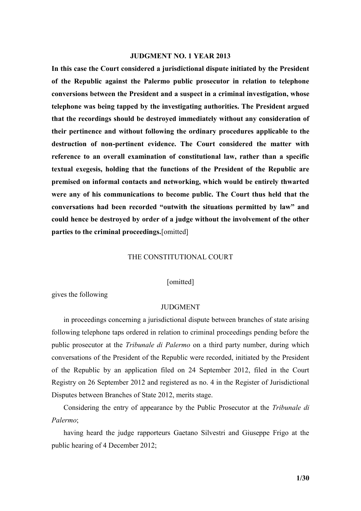### **JUDGMENT NO. 1 YEAR 2013**

**In this case the Court considered a jurisdictional dispute initiated by the President of the Republic against the Palermo public prosecutor in relation to telephone conversions between the President and a suspect in a criminal investigation, whose telephone was being tapped by the investigating authorities. The President argued that the recordings should be destroyed immediately without any consideration of their pertinence and without following the ordinary procedures applicable to the destruction of non-pertinent evidence. The Court considered the matter with reference to an overall examination of constitutional law, rather than a specific textual exegesis, holding that the functions of the President of the Republic are premised on informal contacts and networking, which would be entirely thwarted were any of his communications to become public. The Court thus held that the conversations had been recorded "outwith the situations permitted by law" and could hence be destroyed by order of a judge without the involvement of the other parties to the criminal proceedings.**[omitted]

#### THE CONSTITUTIONAL COURT

[omitted]

gives the following

#### JUDGMENT

in proceedings concerning a jurisdictional dispute between branches of state arising following telephone taps ordered in relation to criminal proceedings pending before the public prosecutor at the *Tribunale di Palermo* on a third party number, during which conversations of the President of the Republic were recorded, initiated by the President of the Republic by an application filed on 24 September 2012, filed in the Court Registry on 26 September 2012 and registered as no. 4 in the Register of Jurisdictional Disputes between Branches of State 2012, merits stage.

Considering the entry of appearance by the Public Prosecutor at the *Tribunale di Palermo*;

having heard the judge rapporteurs Gaetano Silvestri and Giuseppe Frigo at the public hearing of 4 December 2012;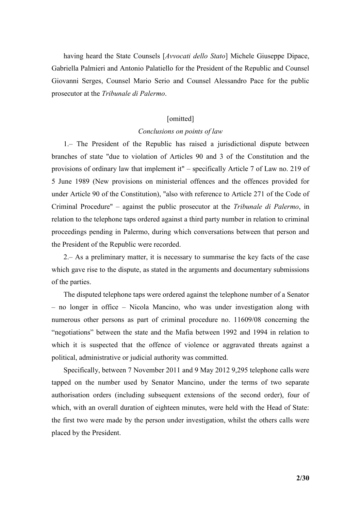having heard the State Counsels [*Avvocati dello Stato*] Michele Giuseppe Dipace, Gabriella Palmieri and Antonio Palatiello for the President of the Republic and Counsel Giovanni Serges, Counsel Mario Serio and Counsel Alessandro Pace for the public prosecutor at the *Tribunale di Palermo*.

## [omitted]

## *Conclusions on points of law*

1.– The President of the Republic has raised a jurisdictional dispute between branches of state "due to violation of Articles 90 and 3 of the Constitution and the provisions of ordinary law that implement it" – specifically Article 7 of Law no. 219 of 5 June 1989 (New provisions on ministerial offences and the offences provided for under Article 90 of the Constitution), "also with reference to Article 271 of the Code of Criminal Procedure" – against the public prosecutor at the *Tribunale di Palermo*, in relation to the telephone taps ordered against a third party number in relation to criminal proceedings pending in Palermo, during which conversations between that person and the President of the Republic were recorded.

2.– As a preliminary matter, it is necessary to summarise the key facts of the case which gave rise to the dispute, as stated in the arguments and documentary submissions of the parties.

The disputed telephone taps were ordered against the telephone number of a Senator – no longer in office – Nicola Mancino, who was under investigation along with numerous other persons as part of criminal procedure no. 11609/08 concerning the "negotiations" between the state and the Mafia between 1992 and 1994 in relation to which it is suspected that the offence of violence or aggravated threats against a political, administrative or judicial authority was committed.

Specifically, between 7 November 2011 and 9 May 2012 9,295 telephone calls were tapped on the number used by Senator Mancino, under the terms of two separate authorisation orders (including subsequent extensions of the second order), four of which, with an overall duration of eighteen minutes, were held with the Head of State: the first two were made by the person under investigation, whilst the others calls were placed by the President.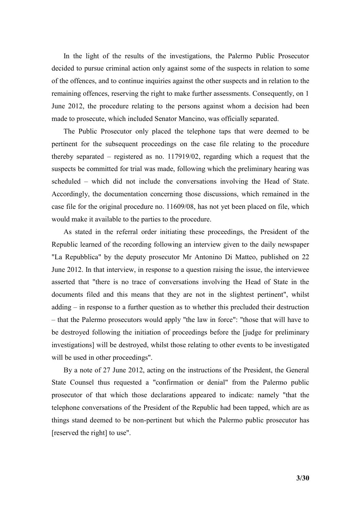In the light of the results of the investigations, the Palermo Public Prosecutor decided to pursue criminal action only against some of the suspects in relation to some of the offences, and to continue inquiries against the other suspects and in relation to the remaining offences, reserving the right to make further assessments. Consequently, on 1 June 2012, the procedure relating to the persons against whom a decision had been made to prosecute, which included Senator Mancino, was officially separated.

The Public Prosecutor only placed the telephone taps that were deemed to be pertinent for the subsequent proceedings on the case file relating to the procedure thereby separated – registered as no. 117919/02, regarding which a request that the suspects be committed for trial was made, following which the preliminary hearing was scheduled – which did not include the conversations involving the Head of State. Accordingly, the documentation concerning those discussions, which remained in the case file for the original procedure no. 11609/08, has not yet been placed on file, which would make it available to the parties to the procedure.

As stated in the referral order initiating these proceedings, the President of the Republic learned of the recording following an interview given to the daily newspaper "La Repubblica" by the deputy prosecutor Mr Antonino Di Matteo, published on 22 June 2012. In that interview, in response to a question raising the issue, the interviewee asserted that "there is no trace of conversations involving the Head of State in the documents filed and this means that they are not in the slightest pertinent", whilst adding – in response to a further question as to whether this precluded their destruction – that the Palermo prosecutors would apply "the law in force": "those that will have to be destroyed following the initiation of proceedings before the [judge for preliminary investigations] will be destroyed, whilst those relating to other events to be investigated will be used in other proceedings".

By a note of 27 June 2012, acting on the instructions of the President, the General State Counsel thus requested a "confirmation or denial" from the Palermo public prosecutor of that which those declarations appeared to indicate: namely "that the telephone conversations of the President of the Republic had been tapped, which are as things stand deemed to be non-pertinent but which the Palermo public prosecutor has [reserved the right] to use".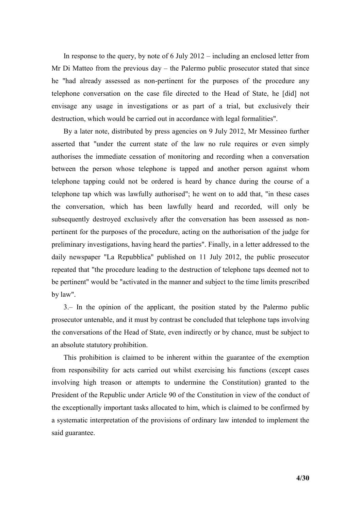In response to the query, by note of 6 July 2012 – including an enclosed letter from Mr Di Matteo from the previous day – the Palermo public prosecutor stated that since he "had already assessed as non-pertinent for the purposes of the procedure any telephone conversation on the case file directed to the Head of State, he [did] not envisage any usage in investigations or as part of a trial, but exclusively their destruction, which would be carried out in accordance with legal formalities".

By a later note, distributed by press agencies on 9 July 2012, Mr Messineo further asserted that "under the current state of the law no rule requires or even simply authorises the immediate cessation of monitoring and recording when a conversation between the person whose telephone is tapped and another person against whom telephone tapping could not be ordered is heard by chance during the course of a telephone tap which was lawfully authorised"; he went on to add that, "in these cases the conversation, which has been lawfully heard and recorded, will only be subsequently destroyed exclusively after the conversation has been assessed as nonpertinent for the purposes of the procedure, acting on the authorisation of the judge for preliminary investigations, having heard the parties". Finally, in a letter addressed to the daily newspaper "La Repubblica" published on 11 July 2012, the public prosecutor repeated that "the procedure leading to the destruction of telephone taps deemed not to be pertinent" would be "activated in the manner and subject to the time limits prescribed by law".

3.– In the opinion of the applicant, the position stated by the Palermo public prosecutor untenable, and it must by contrast be concluded that telephone taps involving the conversations of the Head of State, even indirectly or by chance, must be subject to an absolute statutory prohibition.

This prohibition is claimed to be inherent within the guarantee of the exemption from responsibility for acts carried out whilst exercising his functions (except cases involving high treason or attempts to undermine the Constitution) granted to the President of the Republic under Article 90 of the Constitution in view of the conduct of the exceptionally important tasks allocated to him, which is claimed to be confirmed by a systematic interpretation of the provisions of ordinary law intended to implement the said guarantee.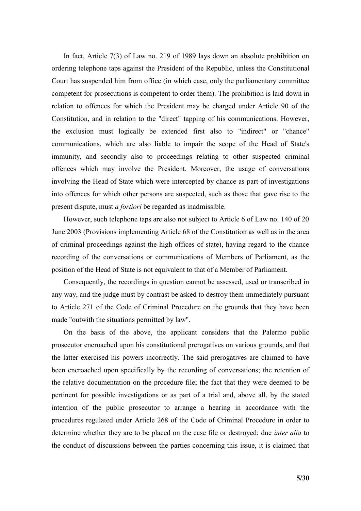In fact, Article 7(3) of Law no. 219 of 1989 lays down an absolute prohibition on ordering telephone taps against the President of the Republic, unless the Constitutional Court has suspended him from office (in which case, only the parliamentary committee competent for prosecutions is competent to order them). The prohibition is laid down in relation to offences for which the President may be charged under Article 90 of the Constitution, and in relation to the "direct" tapping of his communications. However, the exclusion must logically be extended first also to "indirect" or "chance" communications, which are also liable to impair the scope of the Head of State's immunity, and secondly also to proceedings relating to other suspected criminal offences which may involve the President. Moreover, the usage of conversations involving the Head of State which were intercepted by chance as part of investigations into offences for which other persons are suspected, such as those that gave rise to the present dispute, must *a fortiori* be regarded as inadmissible.

However, such telephone taps are also not subject to Article 6 of Law no. 140 of 20 June 2003 (Provisions implementing Article 68 of the Constitution as well as in the area of criminal proceedings against the high offices of state), having regard to the chance recording of the conversations or communications of Members of Parliament, as the position of the Head of State is not equivalent to that of a Member of Parliament.

Consequently, the recordings in question cannot be assessed, used or transcribed in any way, and the judge must by contrast be asked to destroy them immediately pursuant to Article 271 of the Code of Criminal Procedure on the grounds that they have been made "outwith the situations permitted by law".

On the basis of the above, the applicant considers that the Palermo public prosecutor encroached upon his constitutional prerogatives on various grounds, and that the latter exercised his powers incorrectly. The said prerogatives are claimed to have been encroached upon specifically by the recording of conversations; the retention of the relative documentation on the procedure file; the fact that they were deemed to be pertinent for possible investigations or as part of a trial and, above all, by the stated intention of the public prosecutor to arrange a hearing in accordance with the procedures regulated under Article 268 of the Code of Criminal Procedure in order to determine whether they are to be placed on the case file or destroyed; due *inter alia* to the conduct of discussions between the parties concerning this issue, it is claimed that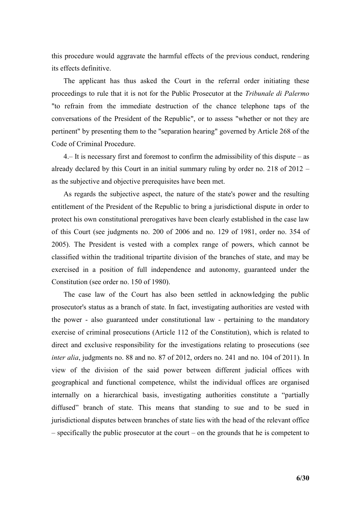this procedure would aggravate the harmful effects of the previous conduct, rendering its effects definitive.

The applicant has thus asked the Court in the referral order initiating these proceedings to rule that it is not for the Public Prosecutor at the *Tribunale di Palermo* "to refrain from the immediate destruction of the chance telephone taps of the conversations of the President of the Republic", or to assess "whether or not they are pertinent" by presenting them to the "separation hearing" governed by Article 268 of the Code of Criminal Procedure.

4.– It is necessary first and foremost to confirm the admissibility of this dispute – as already declared by this Court in an initial summary ruling by order no. 218 of 2012 – as the subjective and objective prerequisites have been met.

As regards the subjective aspect, the nature of the state's power and the resulting entitlement of the President of the Republic to bring a jurisdictional dispute in order to protect his own constitutional prerogatives have been clearly established in the case law of this Court (see judgments no. 200 of 2006 and no. 129 of 1981, order no. 354 of 2005). The President is vested with a complex range of powers, which cannot be classified within the traditional tripartite division of the branches of state, and may be exercised in a position of full independence and autonomy, guaranteed under the Constitution (see order no. 150 of 1980).

The case law of the Court has also been settled in acknowledging the public prosecutor's status as a branch of state. In fact, investigating authorities are vested with the power - also guaranteed under constitutional law - pertaining to the mandatory exercise of criminal prosecutions (Article 112 of the Constitution), which is related to direct and exclusive responsibility for the investigations relating to prosecutions (see *inter alia*, judgments no. 88 and no. 87 of 2012, orders no. 241 and no. 104 of 2011). In view of the division of the said power between different judicial offices with geographical and functional competence, whilst the individual offices are organised internally on a hierarchical basis, investigating authorities constitute a "partially diffused" branch of state. This means that standing to sue and to be sued in jurisdictional disputes between branches of state lies with the head of the relevant office – specifically the public prosecutor at the court – on the grounds that he is competent to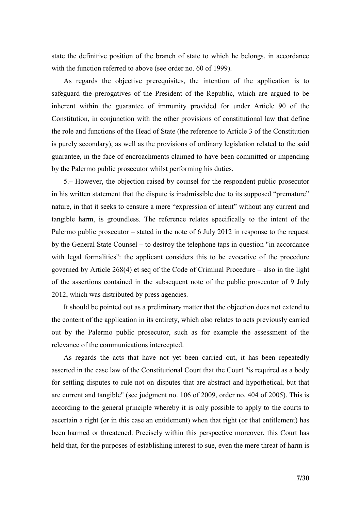state the definitive position of the branch of state to which he belongs, in accordance with the function referred to above (see order no. 60 of 1999).

As regards the objective prerequisites, the intention of the application is to safeguard the prerogatives of the President of the Republic, which are argued to be inherent within the guarantee of immunity provided for under Article 90 of the Constitution, in conjunction with the other provisions of constitutional law that define the role and functions of the Head of State (the reference to Article 3 of the Constitution is purely secondary), as well as the provisions of ordinary legislation related to the said guarantee, in the face of encroachments claimed to have been committed or impending by the Palermo public prosecutor whilst performing his duties.

5.– However, the objection raised by counsel for the respondent public prosecutor in his written statement that the dispute is inadmissible due to its supposed "premature" nature, in that it seeks to censure a mere "expression of intent" without any current and tangible harm, is groundless. The reference relates specifically to the intent of the Palermo public prosecutor – stated in the note of 6 July 2012 in response to the request by the General State Counsel – to destroy the telephone taps in question "in accordance with legal formalities": the applicant considers this to be evocative of the procedure governed by Article 268(4) et seq of the Code of Criminal Procedure – also in the light of the assertions contained in the subsequent note of the public prosecutor of 9 July 2012, which was distributed by press agencies.

It should be pointed out as a preliminary matter that the objection does not extend to the content of the application in its entirety, which also relates to acts previously carried out by the Palermo public prosecutor, such as for example the assessment of the relevance of the communications intercepted.

As regards the acts that have not yet been carried out, it has been repeatedly asserted in the case law of the Constitutional Court that the Court "is required as a body for settling disputes to rule not on disputes that are abstract and hypothetical, but that are current and tangible" (see judgment no. 106 of 2009, order no. 404 of 2005). This is according to the general principle whereby it is only possible to apply to the courts to ascertain a right (or in this case an entitlement) when that right (or that entitlement) has been harmed or threatened. Precisely within this perspective moreover, this Court has held that, for the purposes of establishing interest to sue, even the mere threat of harm is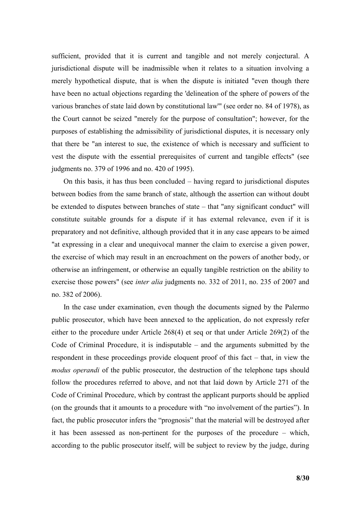sufficient, provided that it is current and tangible and not merely conjectural. A jurisdictional dispute will be inadmissible when it relates to a situation involving a merely hypothetical dispute, that is when the dispute is initiated "even though there have been no actual objections regarding the 'delineation of the sphere of powers of the various branches of state laid down by constitutional law'" (see order no. 84 of 1978), as the Court cannot be seized "merely for the purpose of consultation"; however, for the purposes of establishing the admissibility of jurisdictional disputes, it is necessary only that there be "an interest to sue, the existence of which is necessary and sufficient to vest the dispute with the essential prerequisites of current and tangible effects" (see judgments no. 379 of 1996 and no. 420 of 1995).

On this basis, it has thus been concluded – having regard to jurisdictional disputes between bodies from the same branch of state, although the assertion can without doubt be extended to disputes between branches of state – that "any significant conduct" will constitute suitable grounds for a dispute if it has external relevance, even if it is preparatory and not definitive, although provided that it in any case appears to be aimed "at expressing in a clear and unequivocal manner the claim to exercise a given power, the exercise of which may result in an encroachment on the powers of another body, or otherwise an infringement, or otherwise an equally tangible restriction on the ability to exercise those powers" (see *inter alia* judgments no. 332 of 2011, no. 235 of 2007 and no. 382 of 2006).

In the case under examination, even though the documents signed by the Palermo public prosecutor, which have been annexed to the application, do not expressly refer either to the procedure under Article 268(4) et seq or that under Article 269(2) of the Code of Criminal Procedure, it is indisputable – and the arguments submitted by the respondent in these proceedings provide eloquent proof of this fact – that, in view the *modus operandi* of the public prosecutor, the destruction of the telephone taps should follow the procedures referred to above, and not that laid down by Article 271 of the Code of Criminal Procedure, which by contrast the applicant purports should be applied (on the grounds that it amounts to a procedure with "no involvement of the parties"). In fact, the public prosecutor infers the "prognosis" that the material will be destroyed after it has been assessed as non-pertinent for the purposes of the procedure – which, according to the public prosecutor itself, will be subject to review by the judge, during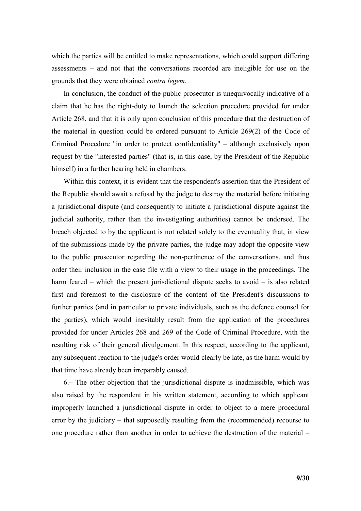which the parties will be entitled to make representations, which could support differing assessments – and not that the conversations recorded are ineligible for use on the grounds that they were obtained *contra legem*.

In conclusion, the conduct of the public prosecutor is unequivocally indicative of a claim that he has the right-duty to launch the selection procedure provided for under Article 268, and that it is only upon conclusion of this procedure that the destruction of the material in question could be ordered pursuant to Article 269(2) of the Code of Criminal Procedure "in order to protect confidentiality" – although exclusively upon request by the "interested parties" (that is, in this case, by the President of the Republic himself) in a further hearing held in chambers.

Within this context, it is evident that the respondent's assertion that the President of the Republic should await a refusal by the judge to destroy the material before initiating a jurisdictional dispute (and consequently to initiate a jurisdictional dispute against the judicial authority, rather than the investigating authorities) cannot be endorsed. The breach objected to by the applicant is not related solely to the eventuality that, in view of the submissions made by the private parties, the judge may adopt the opposite view to the public prosecutor regarding the non-pertinence of the conversations, and thus order their inclusion in the case file with a view to their usage in the proceedings. The harm feared – which the present jurisdictional dispute seeks to avoid – is also related first and foremost to the disclosure of the content of the President's discussions to further parties (and in particular to private individuals, such as the defence counsel for the parties), which would inevitably result from the application of the procedures provided for under Articles 268 and 269 of the Code of Criminal Procedure, with the resulting risk of their general divulgement. In this respect, according to the applicant, any subsequent reaction to the judge's order would clearly be late, as the harm would by that time have already been irreparably caused.

6.– The other objection that the jurisdictional dispute is inadmissible, which was also raised by the respondent in his written statement, according to which applicant improperly launched a jurisdictional dispute in order to object to a mere procedural error by the judiciary – that supposedly resulting from the (recommended) recourse to one procedure rather than another in order to achieve the destruction of the material –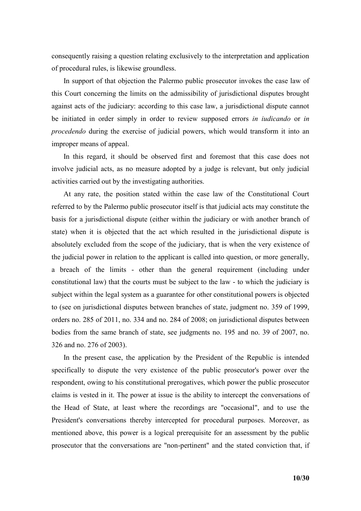consequently raising a question relating exclusively to the interpretation and application of procedural rules, is likewise groundless.

In support of that objection the Palermo public prosecutor invokes the case law of this Court concerning the limits on the admissibility of jurisdictional disputes brought against acts of the judiciary: according to this case law, a jurisdictional dispute cannot be initiated in order simply in order to review supposed errors *in iudicando* or *in procedendo* during the exercise of judicial powers, which would transform it into an improper means of appeal.

In this regard, it should be observed first and foremost that this case does not involve judicial acts, as no measure adopted by a judge is relevant, but only judicial activities carried out by the investigating authorities.

At any rate, the position stated within the case law of the Constitutional Court referred to by the Palermo public prosecutor itself is that judicial acts may constitute the basis for a jurisdictional dispute (either within the judiciary or with another branch of state) when it is objected that the act which resulted in the jurisdictional dispute is absolutely excluded from the scope of the judiciary, that is when the very existence of the judicial power in relation to the applicant is called into question, or more generally, a breach of the limits - other than the general requirement (including under constitutional law) that the courts must be subject to the law - to which the judiciary is subject within the legal system as a guarantee for other constitutional powers is objected to (see on jurisdictional disputes between branches of state, judgment no. 359 of 1999, orders no. 285 of 2011, no. 334 and no. 284 of 2008; on jurisdictional disputes between bodies from the same branch of state, see judgments no. 195 and no. 39 of 2007, no. 326 and no. 276 of 2003).

In the present case, the application by the President of the Republic is intended specifically to dispute the very existence of the public prosecutor's power over the respondent, owing to his constitutional prerogatives, which power the public prosecutor claims is vested in it. The power at issue is the ability to intercept the conversations of the Head of State, at least where the recordings are "occasional", and to use the President's conversations thereby intercepted for procedural purposes. Moreover, as mentioned above, this power is a logical prerequisite for an assessment by the public prosecutor that the conversations are "non-pertinent" and the stated conviction that, if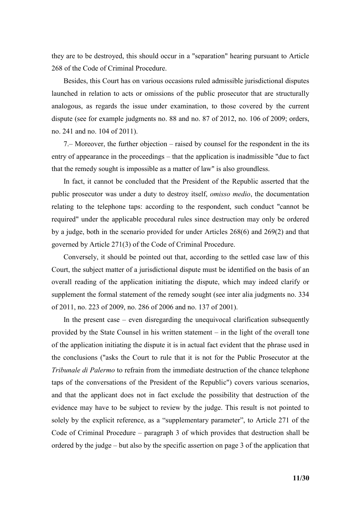they are to be destroyed, this should occur in a "separation" hearing pursuant to Article 268 of the Code of Criminal Procedure.

Besides, this Court has on various occasions ruled admissible jurisdictional disputes launched in relation to acts or omissions of the public prosecutor that are structurally analogous, as regards the issue under examination, to those covered by the current dispute (see for example judgments no. 88 and no. 87 of 2012, no. 106 of 2009; orders, no. 241 and no. 104 of 2011).

7.– Moreover, the further objection – raised by counsel for the respondent in the its entry of appearance in the proceedings – that the application is inadmissible "due to fact that the remedy sought is impossible as a matter of law" is also groundless.

In fact, it cannot be concluded that the President of the Republic asserted that the public prosecutor was under a duty to destroy itself, *omisso medio*, the documentation relating to the telephone taps: according to the respondent, such conduct "cannot be required" under the applicable procedural rules since destruction may only be ordered by a judge, both in the scenario provided for under Articles 268(6) and 269(2) and that governed by Article 271(3) of the Code of Criminal Procedure.

Conversely, it should be pointed out that, according to the settled case law of this Court, the subject matter of a jurisdictional dispute must be identified on the basis of an overall reading of the application initiating the dispute, which may indeed clarify or supplement the formal statement of the remedy sought (see inter alia judgments no. 334 of 2011, no. 223 of 2009, no. 286 of 2006 and no. 137 of 2001).

In the present case – even disregarding the unequivocal clarification subsequently provided by the State Counsel in his written statement – in the light of the overall tone of the application initiating the dispute it is in actual fact evident that the phrase used in the conclusions ("asks the Court to rule that it is not for the Public Prosecutor at the *Tribunale di Palermo* to refrain from the immediate destruction of the chance telephone taps of the conversations of the President of the Republic") covers various scenarios, and that the applicant does not in fact exclude the possibility that destruction of the evidence may have to be subject to review by the judge. This result is not pointed to solely by the explicit reference, as a "supplementary parameter", to Article 271 of the Code of Criminal Procedure – paragraph 3 of which provides that destruction shall be ordered by the judge – but also by the specific assertion on page 3 of the application that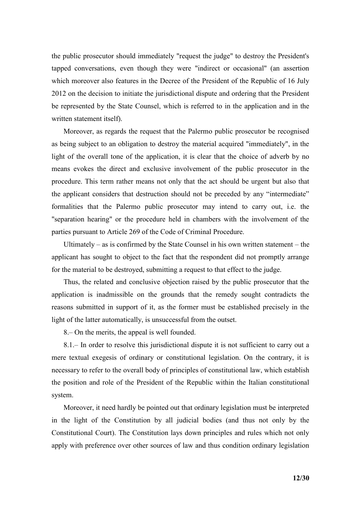the public prosecutor should immediately "request the judge" to destroy the President's tapped conversations, even though they were "indirect or occasional" (an assertion which moreover also features in the Decree of the President of the Republic of 16 July 2012 on the decision to initiate the jurisdictional dispute and ordering that the President be represented by the State Counsel, which is referred to in the application and in the written statement itself).

Moreover, as regards the request that the Palermo public prosecutor be recognised as being subject to an obligation to destroy the material acquired "immediately", in the light of the overall tone of the application, it is clear that the choice of adverb by no means evokes the direct and exclusive involvement of the public prosecutor in the procedure. This term rather means not only that the act should be urgent but also that the applicant considers that destruction should not be preceded by any "intermediate" formalities that the Palermo public prosecutor may intend to carry out, i.e. the "separation hearing" or the procedure held in chambers with the involvement of the parties pursuant to Article 269 of the Code of Criminal Procedure.

Ultimately – as is confirmed by the State Counsel in his own written statement – the applicant has sought to object to the fact that the respondent did not promptly arrange for the material to be destroyed, submitting a request to that effect to the judge.

Thus, the related and conclusive objection raised by the public prosecutor that the application is inadmissible on the grounds that the remedy sought contradicts the reasons submitted in support of it, as the former must be established precisely in the light of the latter automatically, is unsuccessful from the outset.

8.– On the merits, the appeal is well founded.

8.1.– In order to resolve this jurisdictional dispute it is not sufficient to carry out a mere textual exegesis of ordinary or constitutional legislation. On the contrary, it is necessary to refer to the overall body of principles of constitutional law, which establish the position and role of the President of the Republic within the Italian constitutional system.

Moreover, it need hardly be pointed out that ordinary legislation must be interpreted in the light of the Constitution by all judicial bodies (and thus not only by the Constitutional Court). The Constitution lays down principles and rules which not only apply with preference over other sources of law and thus condition ordinary legislation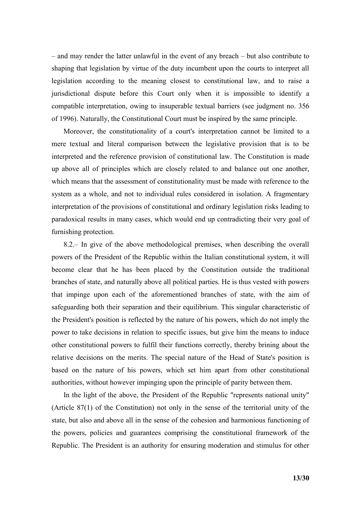– and may render the latter unlawful in the event of any breach – but also contribute to shaping that legislation by virtue of the duty incumbent upon the courts to interpret all legislation according to the meaning closest to constitutional law, and to raise a jurisdictional dispute before this Court only when it is impossible to identify a compatible interpretation, owing to insuperable textual barriers (see judgment no. 356 of 1996). Naturally, the Constitutional Court must be inspired by the same principle.

Moreover, the constitutionality of a court's interpretation cannot be limited to a mere textual and literal comparison between the legislative provision that is to be interpreted and the reference provision of constitutional law. The Constitution is made up above all of principles which are closely related to and balance out one another, which means that the assessment of constitutionality must be made with reference to the system as a whole, and not to individual rules considered in isolation. A fragmentary interpretation of the provisions of constitutional and ordinary legislation risks leading to paradoxical results in many cases, which would end up contradicting their very goal of furnishing protection.

8.2.– In give of the above methodological premises, when describing the overall powers of the President of the Republic within the Italian constitutional system, it will become clear that he has been placed by the Constitution outside the traditional branches of state, and naturally above all political parties. He is thus vested with powers that impinge upon each of the aforementioned branches of state, with the aim of safeguarding both their separation and their equilibrium. This singular characteristic of the President's position is reflected by the nature of his powers, which do not imply the power to take decisions in relation to specific issues, but give him the means to induce other constitutional powers to fulfil their functions correctly, thereby brining about the relative decisions on the merits. The special nature of the Head of State's position is based on the nature of his powers, which set him apart from other constitutional authorities, without however impinging upon the principle of parity between them.

In the light of the above, the President of the Republic "represents national unity" (Article 87(1) of the Constitution) not only in the sense of the territorial unity of the state, but also and above all in the sense of the cohesion and harmonious functioning of the powers, policies and guarantees comprising the constitutional framework of the Republic. The President is an authority for ensuring moderation and stimulus for other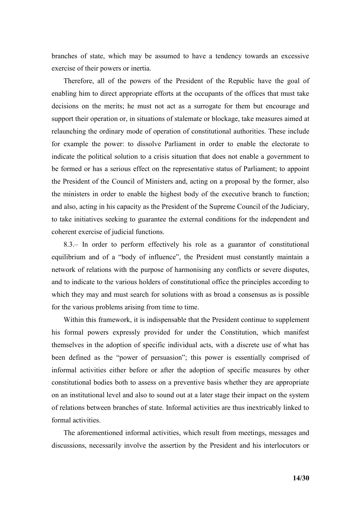branches of state, which may be assumed to have a tendency towards an excessive exercise of their powers or inertia.

Therefore, all of the powers of the President of the Republic have the goal of enabling him to direct appropriate efforts at the occupants of the offices that must take decisions on the merits; he must not act as a surrogate for them but encourage and support their operation or, in situations of stalemate or blockage, take measures aimed at relaunching the ordinary mode of operation of constitutional authorities. These include for example the power: to dissolve Parliament in order to enable the electorate to indicate the political solution to a crisis situation that does not enable a government to be formed or has a serious effect on the representative status of Parliament; to appoint the President of the Council of Ministers and, acting on a proposal by the former, also the ministers in order to enable the highest body of the executive branch to function; and also, acting in his capacity as the President of the Supreme Council of the Judiciary, to take initiatives seeking to guarantee the external conditions for the independent and coherent exercise of judicial functions.

8.3.– In order to perform effectively his role as a guarantor of constitutional equilibrium and of a "body of influence", the President must constantly maintain a network of relations with the purpose of harmonising any conflicts or severe disputes, and to indicate to the various holders of constitutional office the principles according to which they may and must search for solutions with as broad a consensus as is possible for the various problems arising from time to time.

Within this framework, it is indispensable that the President continue to supplement his formal powers expressly provided for under the Constitution, which manifest themselves in the adoption of specific individual acts, with a discrete use of what has been defined as the "power of persuasion"; this power is essentially comprised of informal activities either before or after the adoption of specific measures by other constitutional bodies both to assess on a preventive basis whether they are appropriate on an institutional level and also to sound out at a later stage their impact on the system of relations between branches of state. Informal activities are thus inextricably linked to formal activities.

The aforementioned informal activities, which result from meetings, messages and discussions, necessarily involve the assertion by the President and his interlocutors or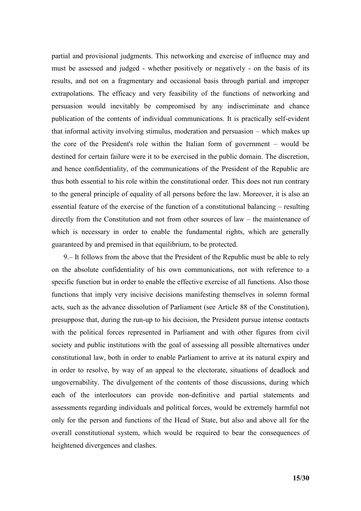partial and provisional judgments. This networking and exercise of influence may and must be assessed and judged - whether positively or negatively - on the basis of its results, and not on a fragmentary and occasional basis through partial and improper extrapolations. The efficacy and very feasibility of the functions of networking and persuasion would inevitably be compromised by any indiscriminate and chance publication of the contents of individual communications. It is practically self-evident that informal activity involving stimulus, moderation and persuasion – which makes up the core of the President's role within the Italian form of government – would be destined for certain failure were it to be exercised in the public domain. The discretion, and hence confidentiality, of the communications of the President of the Republic are thus both essential to his role within the constitutional order. This does not run contrary to the general principle of equality of all persons before the law. Moreover, it is also an essential feature of the exercise of the function of a constitutional balancing – resulting directly from the Constitution and not from other sources of law – the maintenance of which is necessary in order to enable the fundamental rights, which are generally guaranteed by and premised in that equilibrium, to be protected.

9.– It follows from the above that the President of the Republic must be able to rely on the absolute confidentiality of his own communications, not with reference to a specific function but in order to enable the effective exercise of all functions. Also those functions that imply very incisive decisions manifesting themselves in solemn formal acts, such as the advance dissolution of Parliament (see Article 88 of the Constitution), presuppose that, during the run-up to his decision, the President pursue intense contacts with the political forces represented in Parliament and with other figures from civil society and public institutions with the goal of assessing all possible alternatives under constitutional law, both in order to enable Parliament to arrive at its natural expiry and in order to resolve, by way of an appeal to the electorate, situations of deadlock and ungovernability. The divulgement of the contents of those discussions, during which each of the interlocutors can provide non-definitive and partial statements and assessments regarding individuals and political forces, would be extremely harmful not only for the person and functions of the Head of State, but also and above all for the overall constitutional system, which would be required to bear the consequences of heightened divergences and clashes.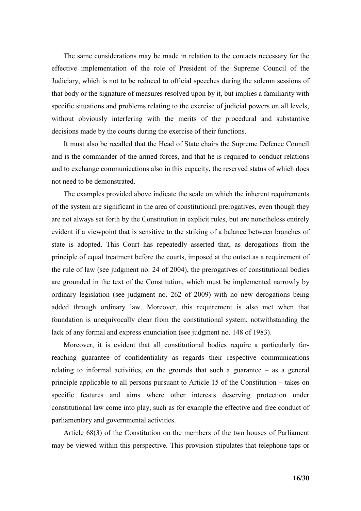The same considerations may be made in relation to the contacts necessary for the effective implementation of the role of President of the Supreme Council of the Judiciary, which is not to be reduced to official speeches during the solemn sessions of that body or the signature of measures resolved upon by it, but implies a familiarity with specific situations and problems relating to the exercise of judicial powers on all levels, without obviously interfering with the merits of the procedural and substantive decisions made by the courts during the exercise of their functions.

It must also be recalled that the Head of State chairs the Supreme Defence Council and is the commander of the armed forces, and that he is required to conduct relations and to exchange communications also in this capacity, the reserved status of which does not need to be demonstrated.

The examples provided above indicate the scale on which the inherent requirements of the system are significant in the area of constitutional prerogatives, even though they are not always set forth by the Constitution in explicit rules, but are nonetheless entirely evident if a viewpoint that is sensitive to the striking of a balance between branches of state is adopted. This Court has repeatedly asserted that, as derogations from the principle of equal treatment before the courts, imposed at the outset as a requirement of the rule of law (see judgment no. 24 of 2004), the prerogatives of constitutional bodies are grounded in the text of the Constitution, which must be implemented narrowly by ordinary legislation (see judgment no. 262 of 2009) with no new derogations being added through ordinary law. Moreover, this requirement is also met when that foundation is unequivocally clear from the constitutional system, notwithstanding the lack of any formal and express enunciation (see judgment no. 148 of 1983).

Moreover, it is evident that all constitutional bodies require a particularly farreaching guarantee of confidentiality as regards their respective communications relating to informal activities, on the grounds that such a guarantee – as a general principle applicable to all persons pursuant to Article 15 of the Constitution – takes on specific features and aims where other interests deserving protection under constitutional law come into play, such as for example the effective and free conduct of parliamentary and governmental activities.

Article 68(3) of the Constitution on the members of the two houses of Parliament may be viewed within this perspective. This provision stipulates that telephone taps or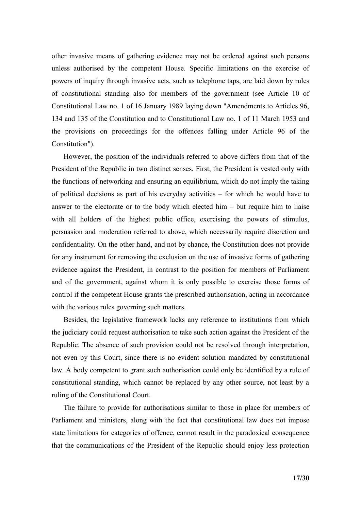other invasive means of gathering evidence may not be ordered against such persons unless authorised by the competent House. Specific limitations on the exercise of powers of inquiry through invasive acts, such as telephone taps, are laid down by rules of constitutional standing also for members of the government (see Article 10 of Constitutional Law no. 1 of 16 January 1989 laying down "Amendments to Articles 96, 134 and 135 of the Constitution and to Constitutional Law no. 1 of 11 March 1953 and the provisions on proceedings for the offences falling under Article 96 of the Constitution").

However, the position of the individuals referred to above differs from that of the President of the Republic in two distinct senses. First, the President is vested only with the functions of networking and ensuring an equilibrium, which do not imply the taking of political decisions as part of his everyday activities – for which he would have to answer to the electorate or to the body which elected him – but require him to liaise with all holders of the highest public office, exercising the powers of stimulus, persuasion and moderation referred to above, which necessarily require discretion and confidentiality. On the other hand, and not by chance, the Constitution does not provide for any instrument for removing the exclusion on the use of invasive forms of gathering evidence against the President, in contrast to the position for members of Parliament and of the government, against whom it is only possible to exercise those forms of control if the competent House grants the prescribed authorisation, acting in accordance with the various rules governing such matters.

Besides, the legislative framework lacks any reference to institutions from which the judiciary could request authorisation to take such action against the President of the Republic. The absence of such provision could not be resolved through interpretation, not even by this Court, since there is no evident solution mandated by constitutional law. A body competent to grant such authorisation could only be identified by a rule of constitutional standing, which cannot be replaced by any other source, not least by a ruling of the Constitutional Court.

The failure to provide for authorisations similar to those in place for members of Parliament and ministers, along with the fact that constitutional law does not impose state limitations for categories of offence, cannot result in the paradoxical consequence that the communications of the President of the Republic should enjoy less protection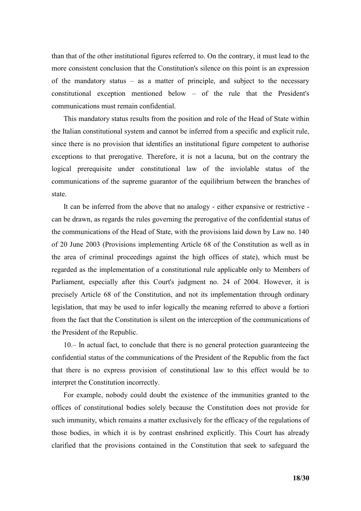than that of the other institutional figures referred to. On the contrary, it must lead to the more consistent conclusion that the Constitution's silence on this point is an expression of the mandatory status – as a matter of principle, and subject to the necessary constitutional exception mentioned below – of the rule that the President's communications must remain confidential.

This mandatory status results from the position and role of the Head of State within the Italian constitutional system and cannot be inferred from a specific and explicit rule, since there is no provision that identifies an institutional figure competent to authorise exceptions to that prerogative. Therefore, it is not a lacuna, but on the contrary the logical prerequisite under constitutional law of the inviolable status of the communications of the supreme guarantor of the equilibrium between the branches of state.

It can be inferred from the above that no analogy - either expansive or restrictive can be drawn, as regards the rules governing the prerogative of the confidential status of the communications of the Head of State, with the provisions laid down by Law no. 140 of 20 June 2003 (Provisions implementing Article 68 of the Constitution as well as in the area of criminal proceedings against the high offices of state), which must be regarded as the implementation of a constitutional rule applicable only to Members of Parliament, especially after this Court's judgment no. 24 of 2004. However, it is precisely Article 68 of the Constitution, and not its implementation through ordinary legislation, that may be used to infer logically the meaning referred to above a fortiori from the fact that the Constitution is silent on the interception of the communications of the President of the Republic.

10.– In actual fact, to conclude that there is no general protection guaranteeing the confidential status of the communications of the President of the Republic from the fact that there is no express provision of constitutional law to this effect would be to interpret the Constitution incorrectly.

For example, nobody could doubt the existence of the immunities granted to the offices of constitutional bodies solely because the Constitution does not provide for such immunity, which remains a matter exclusively for the efficacy of the regulations of those bodies, in which it is by contrast enshrined explicitly. This Court has already clarified that the provisions contained in the Constitution that seek to safeguard the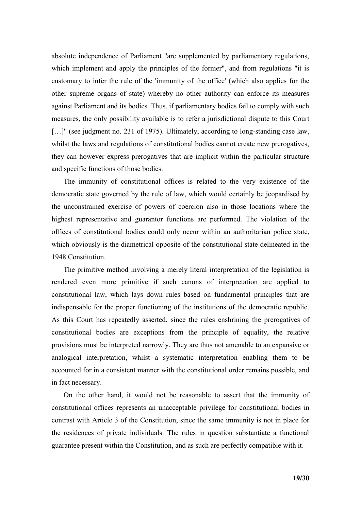absolute independence of Parliament "are supplemented by parliamentary regulations, which implement and apply the principles of the former", and from regulations "it is customary to infer the rule of the 'immunity of the office' (which also applies for the other supreme organs of state) whereby no other authority can enforce its measures against Parliament and its bodies. Thus, if parliamentary bodies fail to comply with such measures, the only possibility available is to refer a jurisdictional dispute to this Court [...]" (see judgment no. 231 of 1975). Ultimately, according to long-standing case law, whilst the laws and regulations of constitutional bodies cannot create new prerogatives, they can however express prerogatives that are implicit within the particular structure and specific functions of those bodies.

The immunity of constitutional offices is related to the very existence of the democratic state governed by the rule of law, which would certainly be jeopardised by the unconstrained exercise of powers of coercion also in those locations where the highest representative and guarantor functions are performed. The violation of the offices of constitutional bodies could only occur within an authoritarian police state, which obviously is the diametrical opposite of the constitutional state delineated in the 1948 Constitution.

The primitive method involving a merely literal interpretation of the legislation is rendered even more primitive if such canons of interpretation are applied to constitutional law, which lays down rules based on fundamental principles that are indispensable for the proper functioning of the institutions of the democratic republic. As this Court has repeatedly asserted, since the rules enshrining the prerogatives of constitutional bodies are exceptions from the principle of equality, the relative provisions must be interpreted narrowly. They are thus not amenable to an expansive or analogical interpretation, whilst a systematic interpretation enabling them to be accounted for in a consistent manner with the constitutional order remains possible, and in fact necessary.

On the other hand, it would not be reasonable to assert that the immunity of constitutional offices represents an unacceptable privilege for constitutional bodies in contrast with Article 3 of the Constitution, since the same immunity is not in place for the residences of private individuals. The rules in question substantiate a functional guarantee present within the Constitution, and as such are perfectly compatible with it.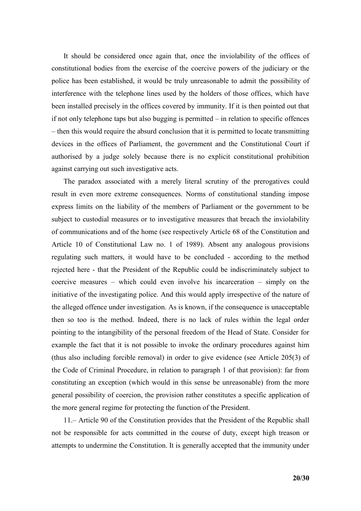It should be considered once again that, once the inviolability of the offices of constitutional bodies from the exercise of the coercive powers of the judiciary or the police has been established, it would be truly unreasonable to admit the possibility of interference with the telephone lines used by the holders of those offices, which have been installed precisely in the offices covered by immunity. If it is then pointed out that if not only telephone taps but also bugging is permitted – in relation to specific offences – then this would require the absurd conclusion that it is permitted to locate transmitting devices in the offices of Parliament, the government and the Constitutional Court if authorised by a judge solely because there is no explicit constitutional prohibition against carrying out such investigative acts.

The paradox associated with a merely literal scrutiny of the prerogatives could result in even more extreme consequences. Norms of constitutional standing impose express limits on the liability of the members of Parliament or the government to be subject to custodial measures or to investigative measures that breach the inviolability of communications and of the home (see respectively Article 68 of the Constitution and Article 10 of Constitutional Law no. 1 of 1989). Absent any analogous provisions regulating such matters, it would have to be concluded - according to the method rejected here - that the President of the Republic could be indiscriminately subject to coercive measures – which could even involve his incarceration – simply on the initiative of the investigating police. And this would apply irrespective of the nature of the alleged offence under investigation. As is known, if the consequence is unacceptable then so too is the method. Indeed, there is no lack of rules within the legal order pointing to the intangibility of the personal freedom of the Head of State. Consider for example the fact that it is not possible to invoke the ordinary procedures against him (thus also including forcible removal) in order to give evidence (see Article 205(3) of the Code of Criminal Procedure, in relation to paragraph 1 of that provision): far from constituting an exception (which would in this sense be unreasonable) from the more general possibility of coercion, the provision rather constitutes a specific application of the more general regime for protecting the function of the President.

11.– Article 90 of the Constitution provides that the President of the Republic shall not be responsible for acts committed in the course of duty, except high treason or attempts to undermine the Constitution. It is generally accepted that the immunity under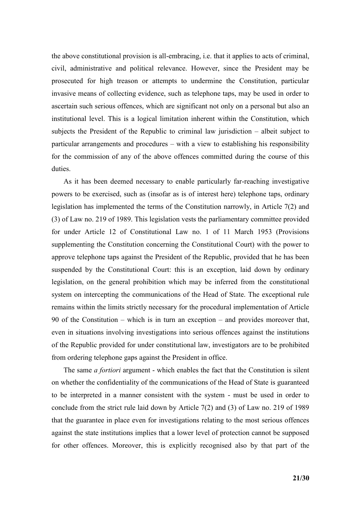the above constitutional provision is all-embracing, i.e. that it applies to acts of criminal, civil, administrative and political relevance. However, since the President may be prosecuted for high treason or attempts to undermine the Constitution, particular invasive means of collecting evidence, such as telephone taps, may be used in order to ascertain such serious offences, which are significant not only on a personal but also an institutional level. This is a logical limitation inherent within the Constitution, which subjects the President of the Republic to criminal law jurisdiction – albeit subject to particular arrangements and procedures – with a view to establishing his responsibility for the commission of any of the above offences committed during the course of this duties.

As it has been deemed necessary to enable particularly far-reaching investigative powers to be exercised, such as (insofar as is of interest here) telephone taps, ordinary legislation has implemented the terms of the Constitution narrowly, in Article 7(2) and (3) of Law no. 219 of 1989. This legislation vests the parliamentary committee provided for under Article 12 of Constitutional Law no. 1 of 11 March 1953 (Provisions supplementing the Constitution concerning the Constitutional Court) with the power to approve telephone taps against the President of the Republic, provided that he has been suspended by the Constitutional Court: this is an exception, laid down by ordinary legislation, on the general prohibition which may be inferred from the constitutional system on intercepting the communications of the Head of State. The exceptional rule remains within the limits strictly necessary for the procedural implementation of Article 90 of the Constitution – which is in turn an exception – and provides moreover that, even in situations involving investigations into serious offences against the institutions of the Republic provided for under constitutional law, investigators are to be prohibited from ordering telephone gaps against the President in office.

The same *a fortiori* argument - which enables the fact that the Constitution is silent on whether the confidentiality of the communications of the Head of State is guaranteed to be interpreted in a manner consistent with the system - must be used in order to conclude from the strict rule laid down by Article 7(2) and (3) of Law no. 219 of 1989 that the guarantee in place even for investigations relating to the most serious offences against the state institutions implies that a lower level of protection cannot be supposed for other offences. Moreover, this is explicitly recognised also by that part of the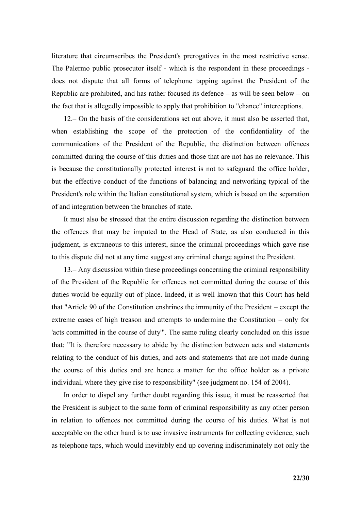literature that circumscribes the President's prerogatives in the most restrictive sense. The Palermo public prosecutor itself - which is the respondent in these proceedings does not dispute that all forms of telephone tapping against the President of the Republic are prohibited, and has rather focused its defence – as will be seen below – on the fact that is allegedly impossible to apply that prohibition to "chance" interceptions.

12.– On the basis of the considerations set out above, it must also be asserted that, when establishing the scope of the protection of the confidentiality of the communications of the President of the Republic, the distinction between offences committed during the course of this duties and those that are not has no relevance. This is because the constitutionally protected interest is not to safeguard the office holder, but the effective conduct of the functions of balancing and networking typical of the President's role within the Italian constitutional system, which is based on the separation of and integration between the branches of state.

It must also be stressed that the entire discussion regarding the distinction between the offences that may be imputed to the Head of State, as also conducted in this judgment, is extraneous to this interest, since the criminal proceedings which gave rise to this dispute did not at any time suggest any criminal charge against the President.

13.– Any discussion within these proceedings concerning the criminal responsibility of the President of the Republic for offences not committed during the course of this duties would be equally out of place. Indeed, it is well known that this Court has held that "Article 90 of the Constitution enshrines the immunity of the President – except the extreme cases of high treason and attempts to undermine the Constitution – only for 'acts committed in the course of duty'". The same ruling clearly concluded on this issue that: "It is therefore necessary to abide by the distinction between acts and statements relating to the conduct of his duties, and acts and statements that are not made during the course of this duties and are hence a matter for the office holder as a private individual, where they give rise to responsibility" (see judgment no. 154 of 2004).

In order to dispel any further doubt regarding this issue, it must be reasserted that the President is subject to the same form of criminal responsibility as any other person in relation to offences not committed during the course of his duties. What is not acceptable on the other hand is to use invasive instruments for collecting evidence, such as telephone taps, which would inevitably end up covering indiscriminately not only the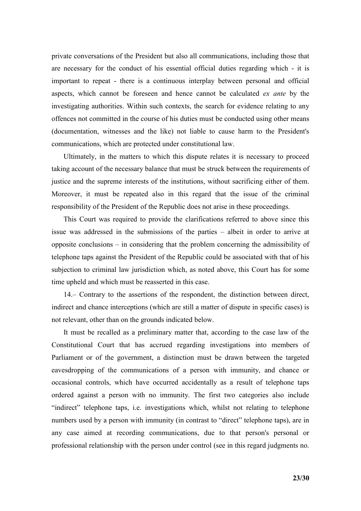private conversations of the President but also all communications, including those that are necessary for the conduct of his essential official duties regarding which - it is important to repeat - there is a continuous interplay between personal and official aspects, which cannot be foreseen and hence cannot be calculated *ex ante* by the investigating authorities. Within such contexts, the search for evidence relating to any offences not committed in the course of his duties must be conducted using other means (documentation, witnesses and the like) not liable to cause harm to the President's communications, which are protected under constitutional law.

Ultimately, in the matters to which this dispute relates it is necessary to proceed taking account of the necessary balance that must be struck between the requirements of justice and the supreme interests of the institutions, without sacrificing either of them. Moreover, it must be repeated also in this regard that the issue of the criminal responsibility of the President of the Republic does not arise in these proceedings.

This Court was required to provide the clarifications referred to above since this issue was addressed in the submissions of the parties – albeit in order to arrive at opposite conclusions – in considering that the problem concerning the admissibility of telephone taps against the President of the Republic could be associated with that of his subjection to criminal law jurisdiction which, as noted above, this Court has for some time upheld and which must be reasserted in this case.

14.– Contrary to the assertions of the respondent, the distinction between direct, indirect and chance interceptions (which are still a matter of dispute in specific cases) is not relevant, other than on the grounds indicated below.

It must be recalled as a preliminary matter that, according to the case law of the Constitutional Court that has accrued regarding investigations into members of Parliament or of the government, a distinction must be drawn between the targeted eavesdropping of the communications of a person with immunity, and chance or occasional controls, which have occurred accidentally as a result of telephone taps ordered against a person with no immunity. The first two categories also include "indirect" telephone taps, i.e. investigations which, whilst not relating to telephone numbers used by a person with immunity (in contrast to "direct" telephone taps), are in any case aimed at recording communications, due to that person's personal or professional relationship with the person under control (see in this regard judgments no.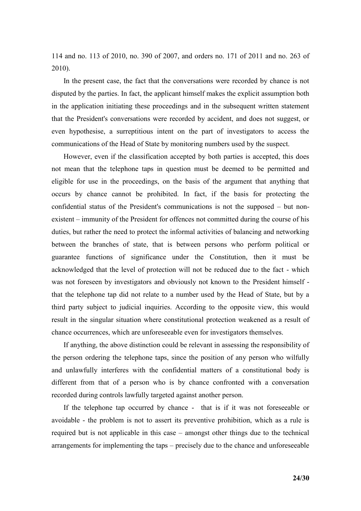114 and no. 113 of 2010, no. 390 of 2007, and orders no. 171 of 2011 and no. 263 of 2010).

In the present case, the fact that the conversations were recorded by chance is not disputed by the parties. In fact, the applicant himself makes the explicit assumption both in the application initiating these proceedings and in the subsequent written statement that the President's conversations were recorded by accident, and does not suggest, or even hypothesise, a surreptitious intent on the part of investigators to access the communications of the Head of State by monitoring numbers used by the suspect.

However, even if the classification accepted by both parties is accepted, this does not mean that the telephone taps in question must be deemed to be permitted and eligible for use in the proceedings, on the basis of the argument that anything that occurs by chance cannot be prohibited. In fact, if the basis for protecting the confidential status of the President's communications is not the supposed – but nonexistent – immunity of the President for offences not committed during the course of his duties, but rather the need to protect the informal activities of balancing and networking between the branches of state, that is between persons who perform political or guarantee functions of significance under the Constitution, then it must be acknowledged that the level of protection will not be reduced due to the fact - which was not foreseen by investigators and obviously not known to the President himself that the telephone tap did not relate to a number used by the Head of State, but by a third party subject to judicial inquiries. According to the opposite view, this would result in the singular situation where constitutional protection weakened as a result of chance occurrences, which are unforeseeable even for investigators themselves.

If anything, the above distinction could be relevant in assessing the responsibility of the person ordering the telephone taps, since the position of any person who wilfully and unlawfully interferes with the confidential matters of a constitutional body is different from that of a person who is by chance confronted with a conversation recorded during controls lawfully targeted against another person.

If the telephone tap occurred by chance - that is if it was not foreseeable or avoidable - the problem is not to assert its preventive prohibition, which as a rule is required but is not applicable in this case – amongst other things due to the technical arrangements for implementing the taps – precisely due to the chance and unforeseeable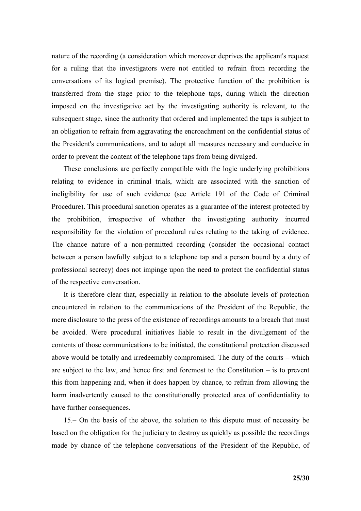nature of the recording (a consideration which moreover deprives the applicant's request for a ruling that the investigators were not entitled to refrain from recording the conversations of its logical premise). The protective function of the prohibition is transferred from the stage prior to the telephone taps, during which the direction imposed on the investigative act by the investigating authority is relevant, to the subsequent stage, since the authority that ordered and implemented the taps is subject to an obligation to refrain from aggravating the encroachment on the confidential status of the President's communications, and to adopt all measures necessary and conducive in order to prevent the content of the telephone taps from being divulged.

These conclusions are perfectly compatible with the logic underlying prohibitions relating to evidence in criminal trials, which are associated with the sanction of ineligibility for use of such evidence (see Article 191 of the Code of Criminal Procedure). This procedural sanction operates as a guarantee of the interest protected by the prohibition, irrespective of whether the investigating authority incurred responsibility for the violation of procedural rules relating to the taking of evidence. The chance nature of a non-permitted recording (consider the occasional contact between a person lawfully subject to a telephone tap and a person bound by a duty of professional secrecy) does not impinge upon the need to protect the confidential status of the respective conversation.

It is therefore clear that, especially in relation to the absolute levels of protection encountered in relation to the communications of the President of the Republic, the mere disclosure to the press of the existence of recordings amounts to a breach that must be avoided. Were procedural initiatives liable to result in the divulgement of the contents of those communications to be initiated, the constitutional protection discussed above would be totally and irredeemably compromised. The duty of the courts – which are subject to the law, and hence first and foremost to the Constitution  $-$  is to prevent this from happening and, when it does happen by chance, to refrain from allowing the harm inadvertently caused to the constitutionally protected area of confidentiality to have further consequences.

15.– On the basis of the above, the solution to this dispute must of necessity be based on the obligation for the judiciary to destroy as quickly as possible the recordings made by chance of the telephone conversations of the President of the Republic, of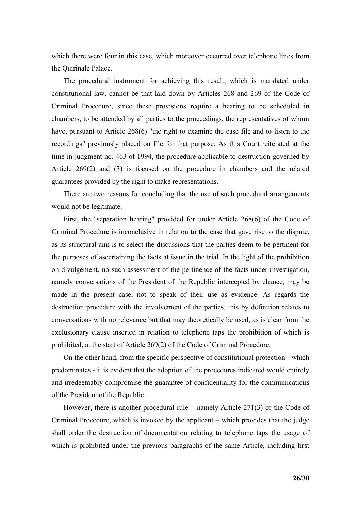which there were four in this case, which moreover occurred over telephone lines from the Quirinale Palace.

The procedural instrument for achieving this result, which is mandated under constitutional law, cannot be that laid down by Articles 268 and 269 of the Code of Criminal Procedure, since these provisions require a hearing to be scheduled in chambers, to be attended by all parties to the proceedings, the representatives of whom have, pursuant to Article 268(6) "the right to examine the case file and to listen to the recordings" previously placed on file for that purpose. As this Court reiterated at the time in judgment no. 463 of 1994, the procedure applicable to destruction governed by Article 269(2) and (3) is focused on the procedure in chambers and the related guarantees provided by the right to make representations.

There are two reasons for concluding that the use of such procedural arrangements would not be legitimate.

First, the "separation hearing" provided for under Article 268(6) of the Code of Criminal Procedure is inconclusive in relation to the case that gave rise to the dispute, as its structural aim is to select the discussions that the parties deem to be pertinent for the purposes of ascertaining the facts at issue in the trial. In the light of the prohibition on divulgement, no such assessment of the pertinence of the facts under investigation, namely conversations of the President of the Republic intercepted by chance, may be made in the present case, not to speak of their use as evidence. As regards the destruction procedure with the involvement of the parties, this by definition relates to conversations with no relevance but that may theoretically be used, as is clear from the exclusionary clause inserted in relation to telephone taps the prohibition of which is prohibited, at the start of Article 269(2) of the Code of Criminal Procedure.

On the other hand, from the specific perspective of constitutional protection - which predominates - it is evident that the adoption of the procedures indicated would entirely and irredeemably compromise the guarantee of confidentiality for the communications of the President of the Republic.

However, there is another procedural rule – namely Article 271(3) of the Code of Criminal Procedure, which is invoked by the applicant – which provides that the judge shall order the destruction of documentation relating to telephone taps the usage of which is prohibited under the previous paragraphs of the same Article, including first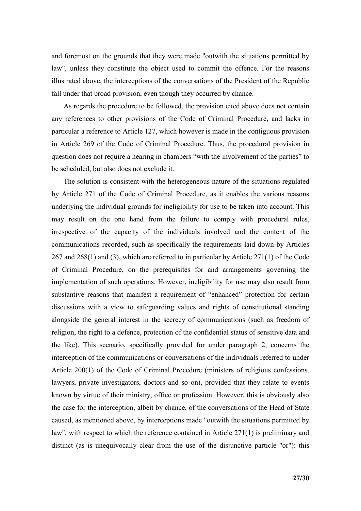and foremost on the grounds that they were made "outwith the situations permitted by law", unless they constitute the object used to commit the offence. For the reasons illustrated above, the interceptions of the conversations of the President of the Republic fall under that broad provision, even though they occurred by chance.

As regards the procedure to be followed, the provision cited above does not contain any references to other provisions of the Code of Criminal Procedure, and lacks in particular a reference to Article 127, which however is made in the contiguous provision in Article 269 of the Code of Criminal Procedure. Thus, the procedural provision in question does not require a hearing in chambers "with the involvement of the parties" to be scheduled, but also does not exclude it.

The solution is consistent with the heterogeneous nature of the situations regulated by Article 271 of the Code of Criminal Procedure, as it enables the various reasons underlying the individual grounds for ineligibility for use to be taken into account. This may result on the one hand from the failure to comply with procedural rules, irrespective of the capacity of the individuals involved and the content of the communications recorded, such as specifically the requirements laid down by Articles 267 and 268(1) and (3), which are referred to in particular by Article 271(1) of the Code of Criminal Procedure, on the prerequisites for and arrangements governing the implementation of such operations. However, ineligibility for use may also result from substantive reasons that manifest a requirement of "enhanced" protection for certain discussions with a view to safeguarding values and rights of constitutional standing alongside the general interest in the secrecy of communications (such as freedom of religion, the right to a defence, protection of the confidential status of sensitive data and the like). This scenario, specifically provided for under paragraph 2, concerns the interception of the communications or conversations of the individuals referred to under Article 200(1) of the Code of Criminal Procedure (ministers of religious confessions, lawyers, private investigators, doctors and so on), provided that they relate to events known by virtue of their ministry, office or profession. However, this is obviously also the case for the interception, albeit by chance, of the conversations of the Head of State caused, as mentioned above, by interceptions made "outwith the situations permitted by law", with respect to which the reference contained in Article 271(1) is preliminary and distinct (as is unequivocally clear from the use of the disjunctive particle "or"): this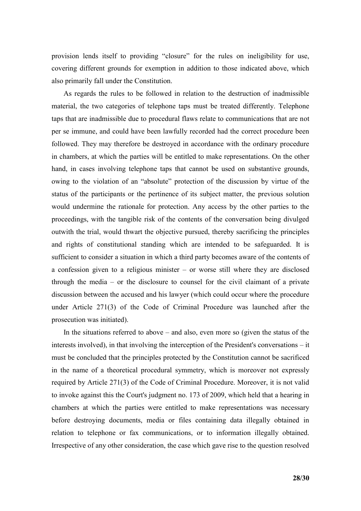provision lends itself to providing "closure" for the rules on ineligibility for use, covering different grounds for exemption in addition to those indicated above, which also primarily fall under the Constitution.

As regards the rules to be followed in relation to the destruction of inadmissible material, the two categories of telephone taps must be treated differently. Telephone taps that are inadmissible due to procedural flaws relate to communications that are not per se immune, and could have been lawfully recorded had the correct procedure been followed. They may therefore be destroyed in accordance with the ordinary procedure in chambers, at which the parties will be entitled to make representations. On the other hand, in cases involving telephone taps that cannot be used on substantive grounds, owing to the violation of an "absolute" protection of the discussion by virtue of the status of the participants or the pertinence of its subject matter, the previous solution would undermine the rationale for protection. Any access by the other parties to the proceedings, with the tangible risk of the contents of the conversation being divulged outwith the trial, would thwart the objective pursued, thereby sacrificing the principles and rights of constitutional standing which are intended to be safeguarded. It is sufficient to consider a situation in which a third party becomes aware of the contents of a confession given to a religious minister – or worse still where they are disclosed through the media – or the disclosure to counsel for the civil claimant of a private discussion between the accused and his lawyer (which could occur where the procedure under Article 271(3) of the Code of Criminal Procedure was launched after the prosecution was initiated).

In the situations referred to above  $-$  and also, even more so (given the status of the interests involved), in that involving the interception of the President's conversations – it must be concluded that the principles protected by the Constitution cannot be sacrificed in the name of a theoretical procedural symmetry, which is moreover not expressly required by Article 271(3) of the Code of Criminal Procedure. Moreover, it is not valid to invoke against this the Court's judgment no. 173 of 2009, which held that a hearing in chambers at which the parties were entitled to make representations was necessary before destroying documents, media or files containing data illegally obtained in relation to telephone or fax communications, or to information illegally obtained. Irrespective of any other consideration, the case which gave rise to the question resolved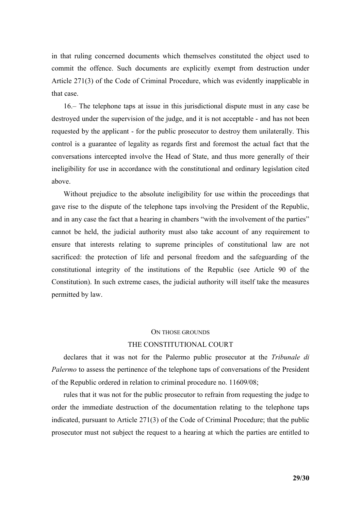in that ruling concerned documents which themselves constituted the object used to commit the offence. Such documents are explicitly exempt from destruction under Article 271(3) of the Code of Criminal Procedure, which was evidently inapplicable in that case.

16.– The telephone taps at issue in this jurisdictional dispute must in any case be destroyed under the supervision of the judge, and it is not acceptable - and has not been requested by the applicant - for the public prosecutor to destroy them unilaterally. This control is a guarantee of legality as regards first and foremost the actual fact that the conversations intercepted involve the Head of State, and thus more generally of their ineligibility for use in accordance with the constitutional and ordinary legislation cited above.

Without prejudice to the absolute ineligibility for use within the proceedings that gave rise to the dispute of the telephone taps involving the President of the Republic, and in any case the fact that a hearing in chambers "with the involvement of the parties" cannot be held, the judicial authority must also take account of any requirement to ensure that interests relating to supreme principles of constitutional law are not sacrificed: the protection of life and personal freedom and the safeguarding of the constitutional integrity of the institutions of the Republic (see Article 90 of the Constitution). In such extreme cases, the judicial authority will itself take the measures permitted by law.

# ON THOSE GROUNDS THE CONSTITUTIONAL COURT

declares that it was not for the Palermo public prosecutor at the *Tribunale di Palermo* to assess the pertinence of the telephone taps of conversations of the President of the Republic ordered in relation to criminal procedure no. 11609/08;

rules that it was not for the public prosecutor to refrain from requesting the judge to order the immediate destruction of the documentation relating to the telephone taps indicated, pursuant to Article 271(3) of the Code of Criminal Procedure; that the public prosecutor must not subject the request to a hearing at which the parties are entitled to